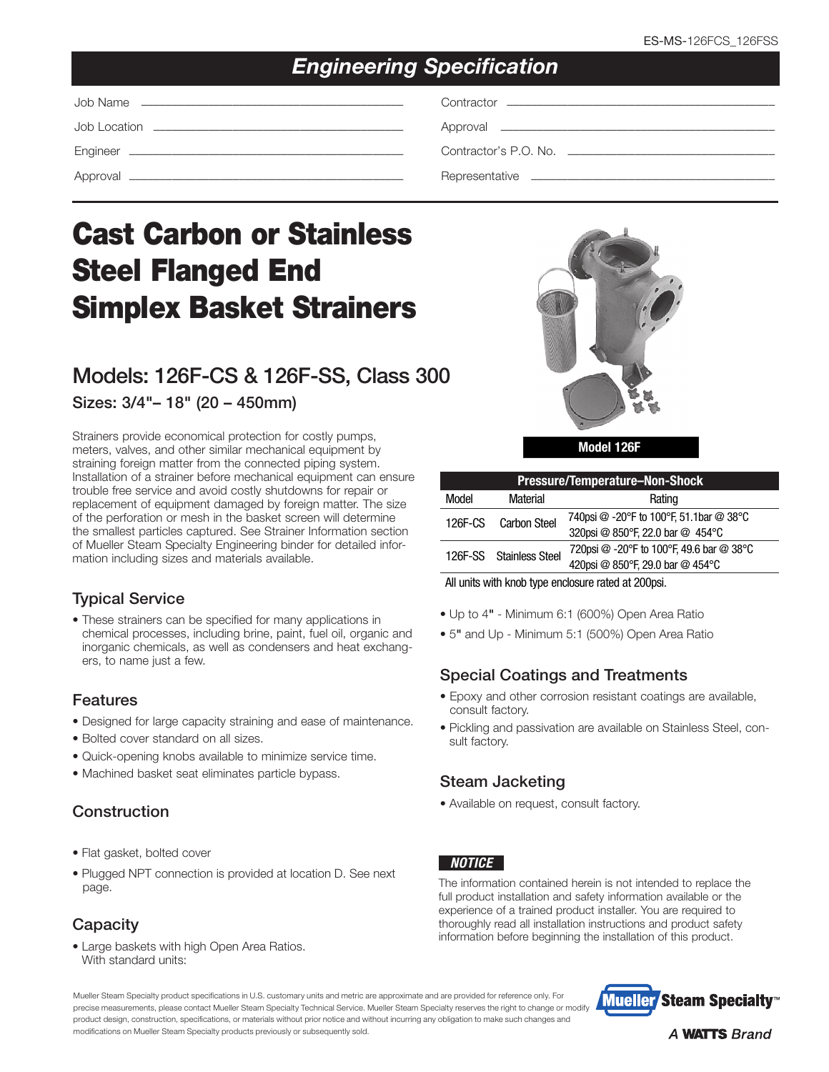# *Engineering Specification*

# Cast Carbon or Stainless Steel Flanged End Simplex Basket Strainers

# Models: 126F-CS & 126F-SS, Class 300 Sizes: 3/4"– 18" (20 – 450mm)

Strainers provide economical protection for costly pumps, meters, valves, and other similar mechanical equipment by straining foreign matter from the connected piping system. Installation of a strainer before mechanical equipment can ensure trouble free service and avoid costly shutdowns for repair or replacement of equipment damaged by foreign matter. The size of the perforation or mesh in the basket screen will determine the smallest particles captured. See Strainer Information section of Mueller Steam Specialty Engineering binder for detailed information including sizes and materials available.

### Typical Service

• These strainers can be specified for many applications in chemical processes, including brine, paint, fuel oil, organic and inorganic chemicals, as well as condensers and heat exchangers, to name just a few.

#### Features

- Designed for large capacity straining and ease of maintenance.
- Bolted cover standard on all sizes.
- Quick-opening knobs available to minimize service time.
- Machined basket seat eliminates particle bypass.

# Construction

- Flat gasket, bolted cover
- Plugged NPT connection is provided at location D. See next page.

# **Capacity**

• Large baskets with high Open Area Ratios. With standard units:



Model 126F

| <b>Pressure/Temperature-Non-Shock</b> |                         |                                          |  |  |  |  |
|---------------------------------------|-------------------------|------------------------------------------|--|--|--|--|
| Model                                 | Material                | Rating                                   |  |  |  |  |
| 126F-CS                               | <b>Carbon Steel</b>     | 740psi @ -20°F to 100°F, 51.1bar @ 38°C  |  |  |  |  |
|                                       |                         | 320psi @ 850°F, 22.0 bar @ 454°C         |  |  |  |  |
|                                       | 126F-SS Stainless Steel | 720psi @ -20°F to 100°F, 49.6 bar @ 38°C |  |  |  |  |
|                                       |                         | 420psi @ 850°F, 29.0 bar @ 454°C         |  |  |  |  |
|                                       |                         |                                          |  |  |  |  |

All units with knob type enclosure rated at 200psi.

- Up to 4" Minimum 6:1 (600%) Open Area Ratio
- 5" and Up Minimum 5:1 (500%) Open Area Ratio

# Special Coatings and Treatments

- Epoxy and other corrosion resistant coatings are available, consult factory.
- Pickling and passivation are available on Stainless Steel, consult factory.

# Steam Jacketing

• Available on request, consult factory.

#### *NOTICE*

The information contained herein is not intended to replace the full product installation and safety information available or the experience of a trained product installer. You are required to thoroughly read all installation instructions and product safety information before beginning the installation of this product.

Mueller Steam Specialty product specifications in U.S. customary units and metric are approximate and are provided for reference only. For precise measurements, please contact Mueller Steam Specialty Technical Service. Mueller Steam Specialty reserves the right to change or modify product design, construction, specifications, or materials without prior notice and without incurring any obligation to make such changes and modifications on Mueller Steam Specialty products previously or subsequently sold.



**A WATTS Brand**